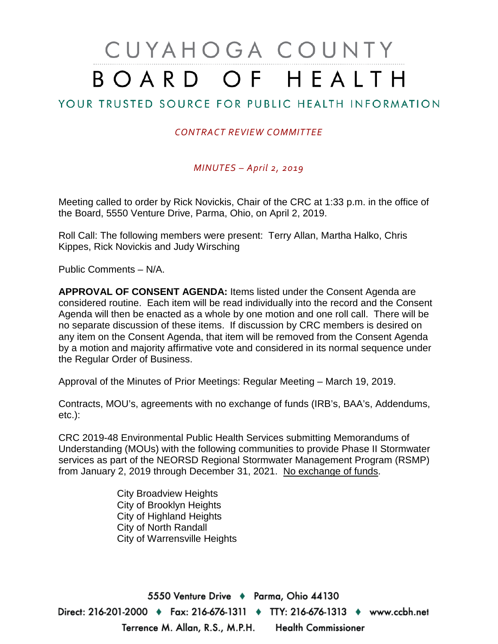# CUYAHOGA COUNTY BOARD OF HEALTH

## YOUR TRUSTED SOURCE FOR PUBLIC HEALTH INFORMATION

#### *CONTRACT REVIEW COMMITTEE*

#### *MINUTES – April 2, 2019*

Meeting called to order by Rick Novickis, Chair of the CRC at 1:33 p.m. in the office of the Board, 5550 Venture Drive, Parma, Ohio, on April 2, 2019.

Roll Call: The following members were present: Terry Allan, Martha Halko, Chris Kippes, Rick Novickis and Judy Wirsching

Public Comments – N/A.

**APPROVAL OF CONSENT AGENDA:** Items listed under the Consent Agenda are considered routine. Each item will be read individually into the record and the Consent Agenda will then be enacted as a whole by one motion and one roll call. There will be no separate discussion of these items. If discussion by CRC members is desired on any item on the Consent Agenda, that item will be removed from the Consent Agenda by a motion and majority affirmative vote and considered in its normal sequence under the Regular Order of Business.

Approval of the Minutes of Prior Meetings: Regular Meeting – March 19, 2019.

Contracts, MOU's, agreements with no exchange of funds (IRB's, BAA's, Addendums, etc.):

CRC 2019-48 Environmental Public Health Services submitting Memorandums of Understanding (MOUs) with the following communities to provide Phase II Stormwater services as part of the NEORSD Regional Stormwater Management Program (RSMP) from January 2, 2019 through December 31, 2021. No exchange of funds.

> City Broadview Heights City of Brooklyn Heights City of Highland Heights City of North Randall City of Warrensville Heights

5550 Venture Drive + Parma, Ohio 44130 Direct: 216-201-2000 ♦ Fax: 216-676-1311 ♦ TTY: 216-676-1313 ♦ www.ccbh.net Terrence M. Allan, R.S., M.P.H. **Health Commissioner**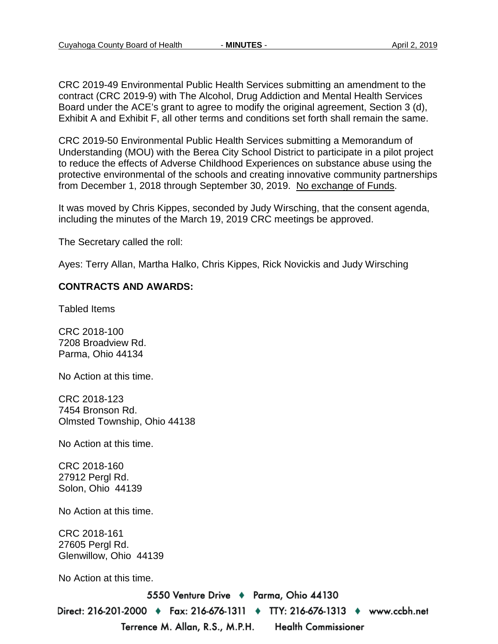CRC 2019-49 Environmental Public Health Services submitting an amendment to the contract (CRC 2019-9) with The Alcohol, Drug Addiction and Mental Health Services Board under the ACE's grant to agree to modify the original agreement, Section 3 (d), Exhibit A and Exhibit F, all other terms and conditions set forth shall remain the same.

CRC 2019-50 Environmental Public Health Services submitting a Memorandum of Understanding (MOU) with the Berea City School District to participate in a pilot project to reduce the effects of Adverse Childhood Experiences on substance abuse using the protective environmental of the schools and creating innovative community partnerships from December 1, 2018 through September 30, 2019. No exchange of Funds.

It was moved by Chris Kippes, seconded by Judy Wirsching, that the consent agenda, including the minutes of the March 19, 2019 CRC meetings be approved.

The Secretary called the roll:

Ayes: Terry Allan, Martha Halko, Chris Kippes, Rick Novickis and Judy Wirsching

#### **CONTRACTS AND AWARDS:**

Tabled Items

CRC 2018-100 7208 Broadview Rd. Parma, Ohio 44134

No Action at this time.

CRC 2018-123 7454 Bronson Rd. Olmsted Township, Ohio 44138

No Action at this time.

CRC 2018-160 27912 Pergl Rd. Solon, Ohio 44139

No Action at this time.

CRC 2018-161 27605 Pergl Rd. Glenwillow, Ohio 44139

No Action at this time.

5550 Venture Drive + Parma, Ohio 44130 Direct: 216-201-2000 ♦ Fax: 216-676-1311 ♦ TTY: 216-676-1313 ♦ www.ccbh.net Terrence M. Allan, R.S., M.P.H. **Health Commissioner**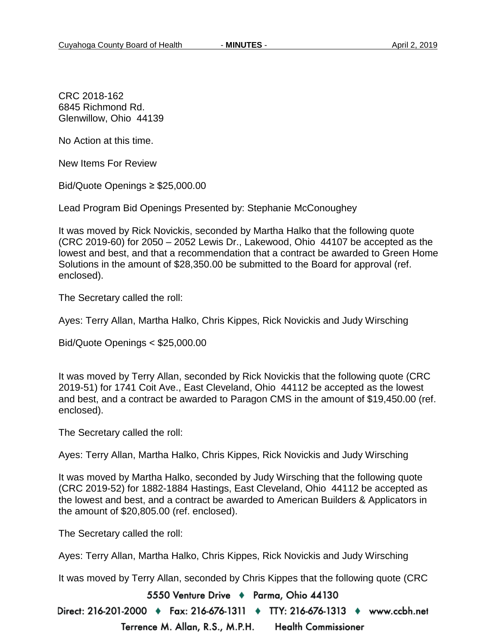CRC 2018-162 6845 Richmond Rd. Glenwillow, Ohio 44139

No Action at this time.

New Items For Review

Bid/Quote Openings ≥ \$25,000.00

Lead Program Bid Openings Presented by: Stephanie McConoughey

It was moved by Rick Novickis, seconded by Martha Halko that the following quote (CRC 2019-60) for 2050 – 2052 Lewis Dr., Lakewood, Ohio 44107 be accepted as the lowest and best, and that a recommendation that a contract be awarded to Green Home Solutions in the amount of \$28,350.00 be submitted to the Board for approval (ref. enclosed).

The Secretary called the roll:

Ayes: Terry Allan, Martha Halko, Chris Kippes, Rick Novickis and Judy Wirsching

Bid/Quote Openings < \$25,000.00

It was moved by Terry Allan, seconded by Rick Novickis that the following quote (CRC 2019-51) for 1741 Coit Ave., East Cleveland, Ohio 44112 be accepted as the lowest and best, and a contract be awarded to Paragon CMS in the amount of \$19,450.00 (ref. enclosed).

The Secretary called the roll:

Ayes: Terry Allan, Martha Halko, Chris Kippes, Rick Novickis and Judy Wirsching

It was moved by Martha Halko, seconded by Judy Wirsching that the following quote (CRC 2019-52) for 1882-1884 Hastings, East Cleveland, Ohio 44112 be accepted as the lowest and best, and a contract be awarded to American Builders & Applicators in the amount of \$20,805.00 (ref. enclosed).

The Secretary called the roll:

Ayes: Terry Allan, Martha Halko, Chris Kippes, Rick Novickis and Judy Wirsching

It was moved by Terry Allan, seconded by Chris Kippes that the following quote (CRC

5550 Venture Drive + Parma, Ohio 44130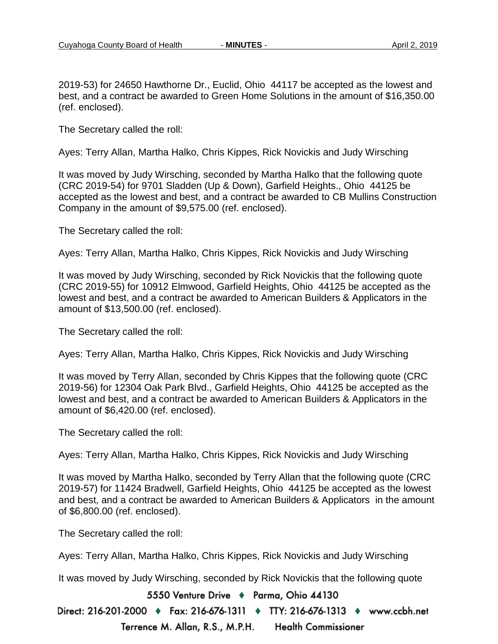2019-53) for 24650 Hawthorne Dr., Euclid, Ohio 44117 be accepted as the lowest and best, and a contract be awarded to Green Home Solutions in the amount of \$16,350.00 (ref. enclosed).

The Secretary called the roll:

Ayes: Terry Allan, Martha Halko, Chris Kippes, Rick Novickis and Judy Wirsching

It was moved by Judy Wirsching, seconded by Martha Halko that the following quote (CRC 2019-54) for 9701 Sladden (Up & Down), Garfield Heights., Ohio 44125 be accepted as the lowest and best, and a contract be awarded to CB Mullins Construction Company in the amount of \$9,575.00 (ref. enclosed).

The Secretary called the roll:

Ayes: Terry Allan, Martha Halko, Chris Kippes, Rick Novickis and Judy Wirsching

It was moved by Judy Wirsching, seconded by Rick Novickis that the following quote (CRC 2019-55) for 10912 Elmwood, Garfield Heights, Ohio 44125 be accepted as the lowest and best, and a contract be awarded to American Builders & Applicators in the amount of \$13,500.00 (ref. enclosed).

The Secretary called the roll:

Ayes: Terry Allan, Martha Halko, Chris Kippes, Rick Novickis and Judy Wirsching

It was moved by Terry Allan, seconded by Chris Kippes that the following quote (CRC 2019-56) for 12304 Oak Park Blvd., Garfield Heights, Ohio 44125 be accepted as the lowest and best, and a contract be awarded to American Builders & Applicators in the amount of \$6,420.00 (ref. enclosed).

The Secretary called the roll:

Ayes: Terry Allan, Martha Halko, Chris Kippes, Rick Novickis and Judy Wirsching

It was moved by Martha Halko, seconded by Terry Allan that the following quote (CRC 2019-57) for 11424 Bradwell, Garfield Heights, Ohio 44125 be accepted as the lowest and best, and a contract be awarded to American Builders & Applicators in the amount of \$6,800.00 (ref. enclosed).

The Secretary called the roll:

Ayes: Terry Allan, Martha Halko, Chris Kippes, Rick Novickis and Judy Wirsching

It was moved by Judy Wirsching, seconded by Rick Novickis that the following quote

5550 Venture Drive + Parma, Ohio 44130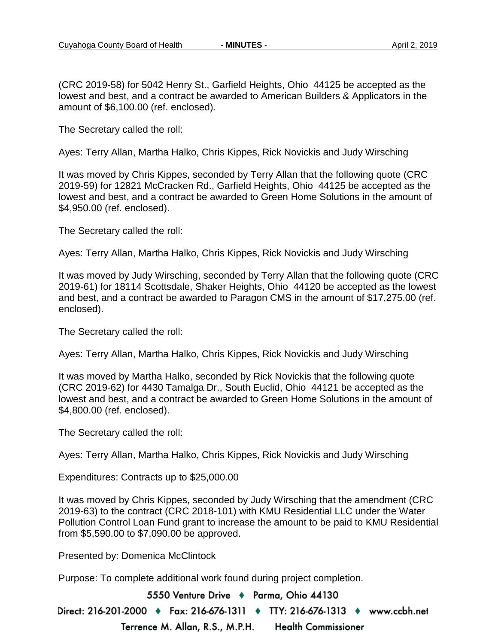(CRC 2019-58) for 5042 Henry St., Garfield Heights, Ohio 44125 be accepted as the lowest and best, and a contract be awarded to American Builders & Applicators in the amount of \$6,100.00 (ref. enclosed).

The Secretary called the roll:

Ayes: Terry Allan, Martha Halko, Chris Kippes, Rick Novickis and Judy Wirsching

It was moved by Chris Kippes, seconded by Terry Allan that the following quote (CRC 2019-59) for 12821 McCracken Rd., Garfield Heights, Ohio 44125 be accepted as the lowest and best, and a contract be awarded to Green Home Solutions in the amount of \$4,950.00 (ref. enclosed).

The Secretary called the roll:

Ayes: Terry Allan, Martha Halko, Chris Kippes, Rick Novickis and Judy Wirsching

It was moved by Judy Wirsching, seconded by Terry Allan that the following quote (CRC 2019-61) for 18114 Scottsdale, Shaker Heights, Ohio 44120 be accepted as the lowest and best, and a contract be awarded to Paragon CMS in the amount of \$17,275.00 (ref. enclosed).

The Secretary called the roll:

Ayes: Terry Allan, Martha Halko, Chris Kippes, Rick Novickis and Judy Wirsching

It was moved by Martha Halko, seconded by Rick Novickis that the following quote (CRC 2019-62) for 4430 Tamalga Dr., South Euclid, Ohio 44121 be accepted as the lowest and best, and a contract be awarded to Green Home Solutions in the amount of \$4,800.00 (ref. enclosed).

The Secretary called the roll:

Ayes: Terry Allan, Martha Halko, Chris Kippes, Rick Novickis and Judy Wirsching

Expenditures: Contracts up to \$25,000.00

It was moved by Chris Kippes, seconded by Judy Wirsching that the amendment (CRC 2019-63) to the contract (CRC 2018-101) with KMU Residential LLC under the Water Pollution Control Loan Fund grant to increase the amount to be paid to KMU Residential from \$5,590.00 to \$7,090.00 be approved.

Presented by: Domenica McClintock

Purpose: To complete additional work found during project completion.

5550 Venture Drive + Parma, Ohio 44130 Direct: 216-201-2000 ♦ Fax: 216-676-1311 ♦ TTY: 216-676-1313 ♦ www.ccbh.net Terrence M. Allan, R.S., M.P.H. **Health Commissioner**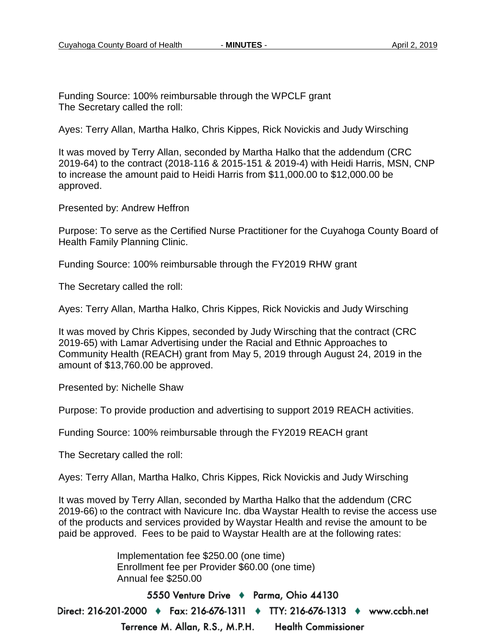Funding Source: 100% reimbursable through the WPCLF grant The Secretary called the roll:

Ayes: Terry Allan, Martha Halko, Chris Kippes, Rick Novickis and Judy Wirsching

It was moved by Terry Allan, seconded by Martha Halko that the addendum (CRC 2019-64) to the contract (2018-116 & 2015-151 & 2019-4) with Heidi Harris, MSN, CNP to increase the amount paid to Heidi Harris from \$11,000.00 to \$12,000.00 be approved.

Presented by: Andrew Heffron

Purpose: To serve as the Certified Nurse Practitioner for the Cuyahoga County Board of Health Family Planning Clinic.

Funding Source: 100% reimbursable through the FY2019 RHW grant

The Secretary called the roll:

Ayes: Terry Allan, Martha Halko, Chris Kippes, Rick Novickis and Judy Wirsching

It was moved by Chris Kippes, seconded by Judy Wirsching that the contract (CRC 2019-65) with Lamar Advertising under the Racial and Ethnic Approaches to Community Health (REACH) grant from May 5, 2019 through August 24, 2019 in the amount of \$13,760.00 be approved.

Presented by: Nichelle Shaw

Purpose: To provide production and advertising to support 2019 REACH activities.

Funding Source: 100% reimbursable through the FY2019 REACH grant

The Secretary called the roll:

Ayes: Terry Allan, Martha Halko, Chris Kippes, Rick Novickis and Judy Wirsching

It was moved by Terry Allan, seconded by Martha Halko that the addendum (CRC 2019-66) to the contract with Navicure Inc. dba Waystar Health to revise the access use of the products and services provided by Waystar Health and revise the amount to be paid be approved. Fees to be paid to Waystar Health are at the following rates:

> Implementation fee \$250.00 (one time) Enrollment fee per Provider \$60.00 (one time) Annual fee \$250.00

> > 5550 Venture Drive + Parma, Ohio 44130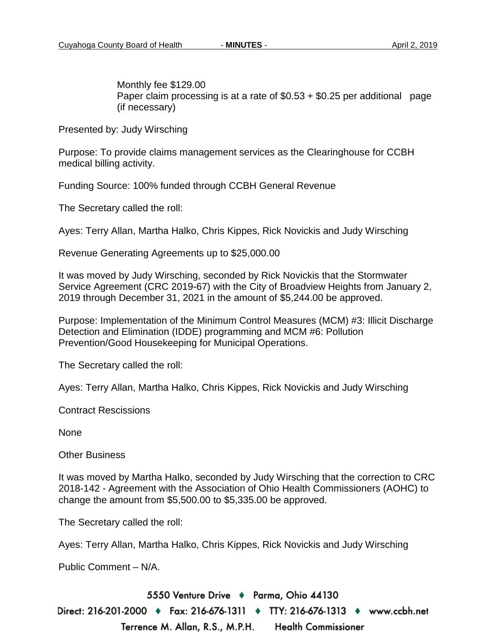Monthly fee \$129.00 Paper claim processing is at a rate of \$0.53 + \$0.25 per additional page (if necessary)

Presented by: Judy Wirsching

Purpose: To provide claims management services as the Clearinghouse for CCBH medical billing activity.

Funding Source: 100% funded through CCBH General Revenue

The Secretary called the roll:

Ayes: Terry Allan, Martha Halko, Chris Kippes, Rick Novickis and Judy Wirsching

Revenue Generating Agreements up to \$25,000.00

It was moved by Judy Wirsching, seconded by Rick Novickis that the Stormwater Service Agreement (CRC 2019-67) with the City of Broadview Heights from January 2, 2019 through December 31, 2021 in the amount of \$5,244.00 be approved.

Purpose: Implementation of the Minimum Control Measures (MCM) #3: Illicit Discharge Detection and Elimination (IDDE) programming and MCM #6: Pollution Prevention/Good Housekeeping for Municipal Operations.

The Secretary called the roll:

Ayes: Terry Allan, Martha Halko, Chris Kippes, Rick Novickis and Judy Wirsching

Contract Rescissions

None

Other Business

It was moved by Martha Halko, seconded by Judy Wirsching that the correction to CRC 2018-142 - Agreement with the Association of Ohio Health Commissioners (AOHC) to change the amount from \$5,500.00 to \$5,335.00 be approved.

The Secretary called the roll:

Ayes: Terry Allan, Martha Halko, Chris Kippes, Rick Novickis and Judy Wirsching

Public Comment – N/A.

5550 Venture Drive + Parma, Ohio 44130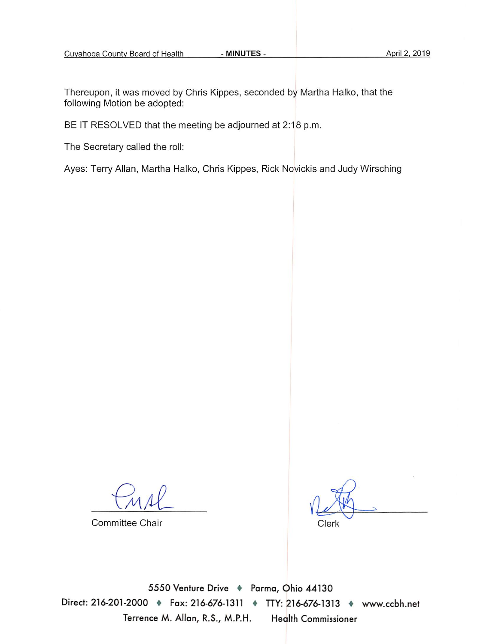- MINUTES -

Thereupon, it was moved by Chris Kippes, seconded by Martha Halko, that the following Motion be adopted:

BE IT RESOLVED that the meeting be adjourned at 2:18 p.m.

The Secretary called the roll:

Ayes: Terry Allan, Martha Halko, Chris Kippes, Rick Novickis and Judy Wirsching

Committee Chair

Clerk

5550 Venture Drive + Parma, Ohio 44130 Direct: 216-201-2000 • Fax: 216-676-1311 • TTY: 216-676-1313 • www.ccbh.net Terrence M. Allan, R.S., M.P.H. **Health Commissioner**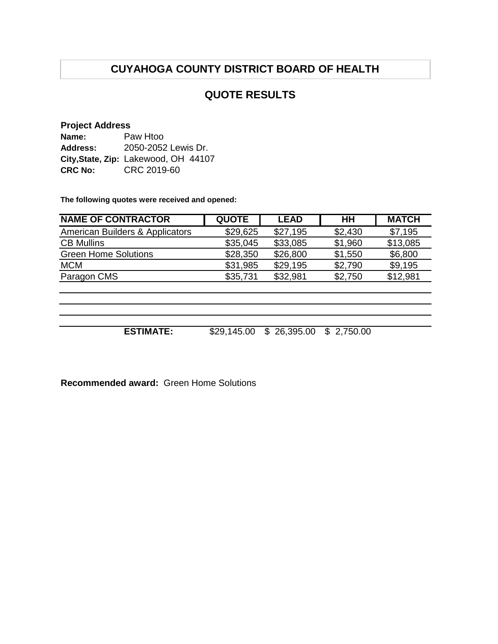## **QUOTE RESULTS**

#### **Project Address**

| Name:          | Paw Htoo                             |
|----------------|--------------------------------------|
| Address:       | 2050-2052 Lewis Dr.                  |
|                | City, State, Zip: Lakewood, OH 44107 |
| <b>CRC No:</b> | CRC 2019-60                          |

**The following quotes were received and opened:**

| <b>NAME OF CONTRACTOR</b>       | <b>QUOTE</b> | <b>LEAD</b>     | HН         | <b>MATCH</b> |
|---------------------------------|--------------|-----------------|------------|--------------|
| American Builders & Applicators | \$29,625     | \$27,195        | \$2,430    | \$7,195      |
| <b>CB Mullins</b>               | \$35,045     | \$33,085        | \$1,960    | \$13,085     |
| <b>Green Home Solutions</b>     | \$28,350     | \$26,800        | \$1,550    | \$6,800      |
| <b>MCM</b>                      | \$31,985     | \$29,195        | \$2,790    | \$9,195      |
| Paragon CMS                     | \$35,731     | \$32,981        | \$2,750    | \$12,981     |
|                                 |              |                 |            |              |
|                                 |              |                 |            |              |
|                                 |              |                 |            |              |
|                                 |              |                 |            |              |
| <b>ESTIMATE:</b>                | \$29,145.00  | 26,395.00<br>\$ | \$2,750.00 |              |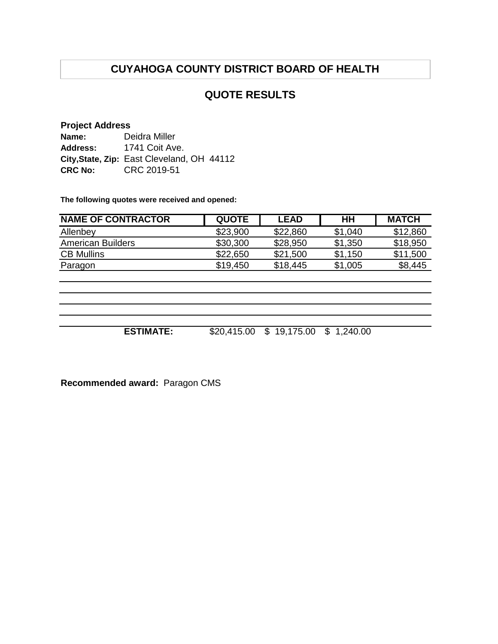## **QUOTE RESULTS**

#### **Project Address**

**Name: Address: City,State, Zip:** East Cleveland, OH 44112 **CRC No:** CRC 2019-51 Deidra Miller 1741 Coit Ave.

**The following quotes were received and opened:**

| <b>NAME OF CONTRACTOR</b> | <b>QUOTE</b> | <b>LEAD</b> | HН      | <b>MATCH</b> |
|---------------------------|--------------|-------------|---------|--------------|
| Allenbey                  | \$23,900     | \$22,860    | \$1,040 | \$12,860     |
| <b>American Builders</b>  | \$30,300     | \$28,950    | \$1,350 | \$18,950     |
| <b>CB Mullins</b>         | \$22,650     | \$21,500    | \$1,150 | \$11,500     |
| Paragon                   | \$19,450     | \$18,445    | \$1,005 | \$8,445      |

**ESTIMATE:** \$20,415.00 \$ 19,175.00 \$ 1,240.00

**Recommended award:** Paragon CMS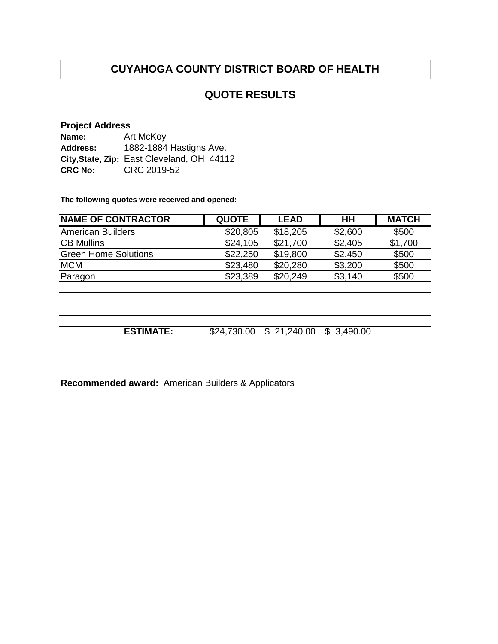## **QUOTE RESULTS**

#### **Project Address**

| Name:           | Art McKoy                                  |
|-----------------|--------------------------------------------|
| <b>Address:</b> | 1882-1884 Hastigns Ave.                    |
|                 | City, State, Zip: East Cleveland, OH 44112 |
| <b>CRC No:</b>  | CRC 2019-52                                |

**The following quotes were received and opened:**

| <b>NAME OF CONTRACTOR</b>   | <b>QUOTE</b> | <b>LEAD</b> | H          | <b>MATCH</b> |
|-----------------------------|--------------|-------------|------------|--------------|
| <b>American Builders</b>    | \$20,805     | \$18,205    | \$2,600    | \$500        |
| <b>CB Mullins</b>           | \$24,105     | \$21,700    | \$2,405    | \$1,700      |
| <b>Green Home Solutions</b> | \$22,250     | \$19,800    | \$2,450    | \$500        |
| <b>MCM</b>                  | \$23,480     | \$20,280    | \$3,200    | \$500        |
| Paragon                     | \$23,389     | \$20,249    | \$3,140    | \$500        |
|                             |              |             |            |              |
|                             |              |             |            |              |
|                             |              |             |            |              |
|                             |              |             |            |              |
| <b>ESTIMATE:</b>            | \$24,730.00  | \$21,240.00 | \$3,490.00 |              |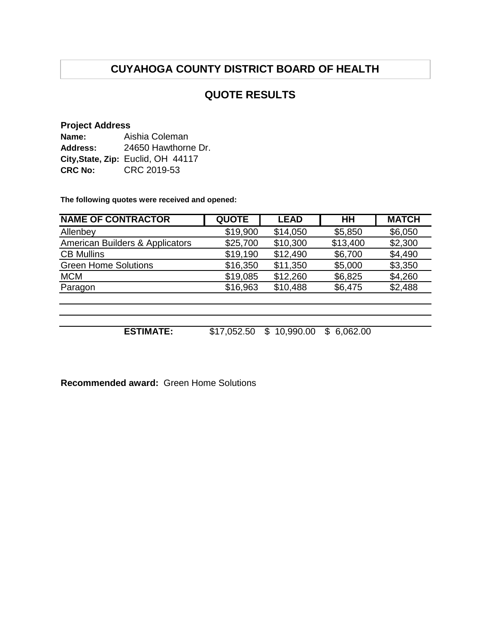## **QUOTE RESULTS**

#### **Project Address**

| Name:          | Aishia Coleman                     |
|----------------|------------------------------------|
| Address:       | 24650 Hawthorne Dr.                |
|                | City, State, Zip: Euclid, OH 44117 |
| <b>CRC No:</b> | CRC 2019-53                        |

**The following quotes were received and opened:**

| <b>NAME OF CONTRACTOR</b>       | <b>QUOTE</b> | <b>LEAD</b> | HН       | <b>MATCH</b> |
|---------------------------------|--------------|-------------|----------|--------------|
| Allenbey                        | \$19,900     | \$14,050    | \$5,850  | \$6,050      |
| American Builders & Applicators | \$25,700     | \$10,300    | \$13,400 | \$2,300      |
| <b>CB Mullins</b>               | \$19,190     | \$12,490    | \$6,700  | \$4,490      |
| <b>Green Home Solutions</b>     | \$16,350     | \$11,350    | \$5,000  | \$3,350      |
| <b>MCM</b>                      | \$19,085     | \$12,260    | \$6,825  | \$4,260      |
| Paragon                         | \$16,963     | \$10,488    | \$6,475  | \$2,488      |
|                                 |              |             |          |              |
|                                 |              |             |          |              |
|                                 |              |             |          |              |
| <b>ESTIMATE:</b>                | \$17,052.50  | 10,990.00   | 6,062.00 |              |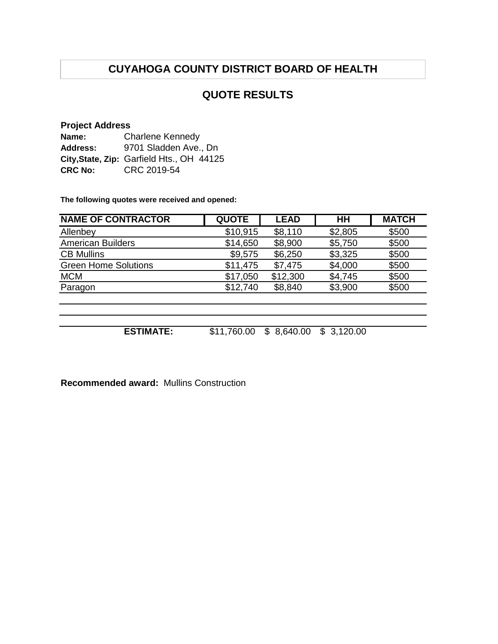## **QUOTE RESULTS**

#### **Project Address**

| Name:          | <b>Charlene Kennedy</b>                   |
|----------------|-------------------------------------------|
| Address:       | 9701 Sladden Ave., Dn                     |
|                | City, State, Zip: Garfield Hts., OH 44125 |
| <b>CRC No:</b> | CRC 2019-54                               |

**The following quotes were received and opened:**

| <b>NAME OF CONTRACTOR</b>   | <b>QUOTE</b> | <b>LEAD</b>     | HH             | <b>MATCH</b> |
|-----------------------------|--------------|-----------------|----------------|--------------|
| Allenbey                    | \$10,915     | \$8,110         | \$2,805        | \$500        |
| <b>American Builders</b>    | \$14,650     | \$8,900         | \$5,750        | \$500        |
| <b>CB Mullins</b>           | \$9,575      | \$6,250         | \$3,325        | \$500        |
| <b>Green Home Solutions</b> | \$11,475     | \$7,475         | \$4,000        | \$500        |
| <b>MCM</b>                  | \$17,050     | \$12,300        | \$4,745        | \$500        |
| Paragon                     | \$12,740     | \$8,840         | \$3,900        | \$500        |
|                             |              |                 |                |              |
|                             |              |                 |                |              |
| <b>ESTIMATE:</b>            | \$11,760.00  | 8,640.00<br>\$. | 3,120.00<br>\$ |              |

**Recommended award:** Mullins Construction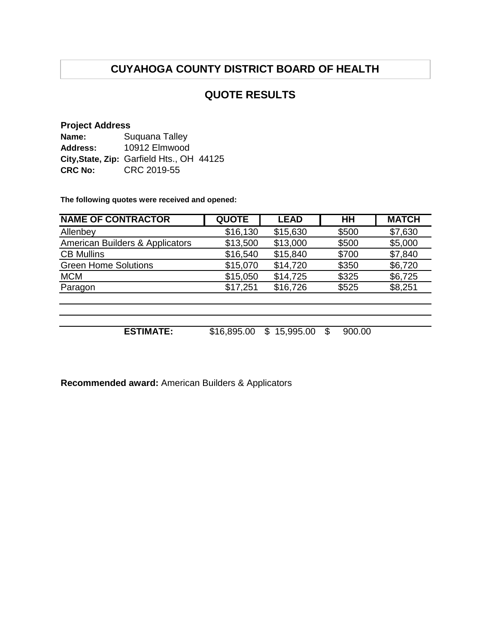## **QUOTE RESULTS**

#### **Project Address**

| Name:          | Suquana Talley                            |  |
|----------------|-------------------------------------------|--|
| Address:       | 10912 Elmwood                             |  |
|                | City, State, Zip: Garfield Hts., OH 44125 |  |
| <b>CRC No:</b> | CRC 2019-55                               |  |

**The following quotes were received and opened:**

| <b>NAME OF CONTRACTOR</b>       | <b>QUOTE</b> | <b>LEAD</b>                 | HН           | <b>MATCH</b> |
|---------------------------------|--------------|-----------------------------|--------------|--------------|
| Allenbey                        | \$16,130     | \$15,630                    | \$500        | \$7,630      |
| American Builders & Applicators | \$13,500     | \$13,000                    | \$500        | \$5,000      |
| <b>CB Mullins</b>               | \$16,540     | \$15,840                    | \$700        | \$7,840      |
| <b>Green Home Solutions</b>     | \$15,070     | \$14,720                    | \$350        | \$6,720      |
| <b>MCM</b>                      | \$15,050     | \$14,725                    | \$325        | \$6,725      |
| Paragon                         | \$17,251     | \$16,726                    | \$525        | \$8,251      |
|                                 |              |                             |              |              |
|                                 |              |                             |              |              |
| <b>ESTIMATE:</b>                | \$16,895.00  | 15,995.00<br>$\mathfrak{L}$ | \$<br>900.00 |              |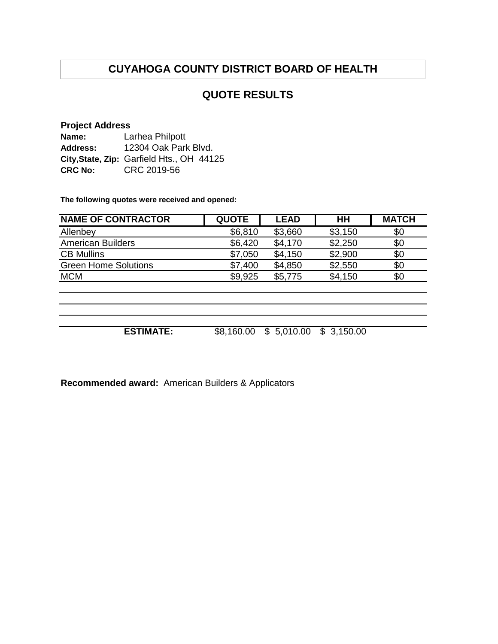## **QUOTE RESULTS**

#### **Project Address**

| Name:          | Larhea Philpott                           |
|----------------|-------------------------------------------|
| Address:       | 12304 Oak Park Blvd.                      |
|                | City, State, Zip: Garfield Hts., OH 44125 |
| <b>CRC No:</b> | CRC 2019-56                               |

**The following quotes were received and opened:**

| <b>NAME OF CONTRACTOR</b>   | <b>QUOTE</b> | <b>LEAD</b> | HH                      | <b>MATCH</b> |
|-----------------------------|--------------|-------------|-------------------------|--------------|
| Allenbey                    | \$6,810      | \$3,660     | \$3,150                 | \$0          |
| <b>American Builders</b>    | \$6,420      | \$4,170     | \$2,250                 | \$0          |
| <b>CB Mullins</b>           | \$7,050      | \$4,150     | \$2,900                 | \$0          |
| <b>Green Home Solutions</b> | \$7,400      | \$4,850     | \$2,550                 | \$0          |
| <b>MCM</b>                  | \$9,925      | \$5,775     | \$4,150                 | \$0          |
|                             |              |             |                         |              |
|                             |              |             |                         |              |
| <b>ESTIMATE:</b>            | \$8,160.00   |             | $$5,010.00$ $$3,150.00$ |              |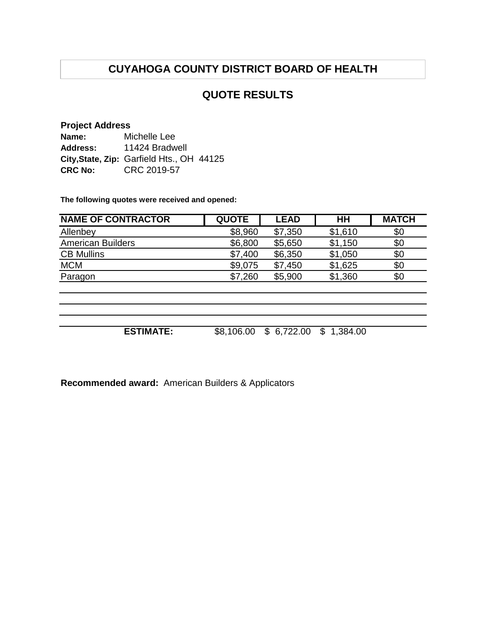## **QUOTE RESULTS**

#### **Project Address**

| Name:           | Michelle Lee                              |  |
|-----------------|-------------------------------------------|--|
| <b>Address:</b> | 11424 Bradwell                            |  |
|                 | City, State, Zip: Garfield Hts., OH 44125 |  |
| <b>CRC No:</b>  | CRC 2019-57                               |  |

**The following quotes were received and opened:**

| <b>NAME OF CONTRACTOR</b> | <b>QUOTE</b> | <b>LEAD</b> | $H$ H $H$      | <b>MATCH</b> |
|---------------------------|--------------|-------------|----------------|--------------|
| Allenbey                  | \$8,960      | \$7,350     | \$1,610        | \$0          |
| <b>American Builders</b>  | \$6,800      | \$5,650     | \$1,150        | \$0          |
| <b>CB Mullins</b>         | \$7,400      | \$6,350     | \$1,050        | \$0          |
| <b>MCM</b>                | \$9,075      | \$7,450     | \$1,625        | \$0          |
| Paragon                   | \$7,260      | \$5,900     | \$1,360        | \$0          |
|                           |              |             |                |              |
|                           |              |             |                |              |
|                           |              |             |                |              |
| <b>ESTIMATE:</b>          | \$8,106.00   | \$6,722.00  | 1,384.00<br>\$ |              |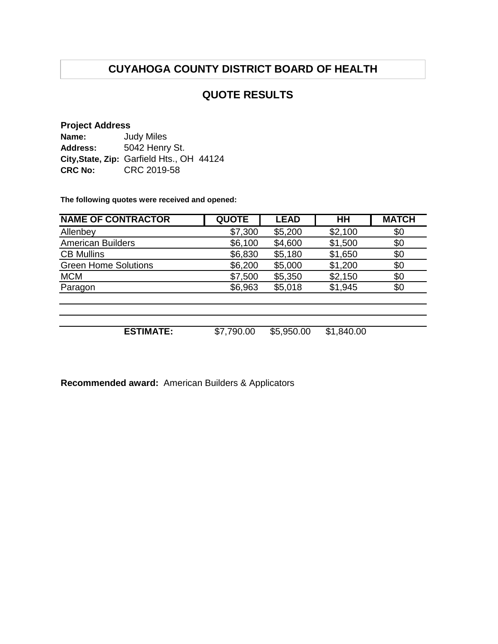## **QUOTE RESULTS**

#### **Project Address**

| Name:           | <b>Judy Miles</b>                         |
|-----------------|-------------------------------------------|
| <b>Address:</b> | 5042 Henry St.                            |
|                 | City, State, Zip: Garfield Hts., OH 44124 |
| <b>CRC No:</b>  | CRC 2019-58                               |

**The following quotes were received and opened:**

| <b>NAME OF CONTRACTOR</b>   | <b>QUOTE</b> | <b>LEAD</b> | HH         | <b>MATCH</b> |
|-----------------------------|--------------|-------------|------------|--------------|
| Allenbey                    | \$7,300      | \$5,200     | \$2,100    | \$0          |
| <b>American Builders</b>    | \$6,100      | \$4,600     | \$1,500    | \$0          |
| <b>CB Mullins</b>           | \$6,830      | \$5,180     | \$1,650    | \$0          |
| <b>Green Home Solutions</b> | \$6,200      | \$5,000     | \$1,200    | \$0          |
| <b>MCM</b>                  | \$7,500      | \$5,350     | \$2,150    | \$0          |
| Paragon                     | \$6,963      | \$5,018     | \$1,945    | \$0          |
|                             |              |             |            |              |
| <b>ESTIMATE:</b>            | \$7,790.00   | \$5,950.00  | \$1,840.00 |              |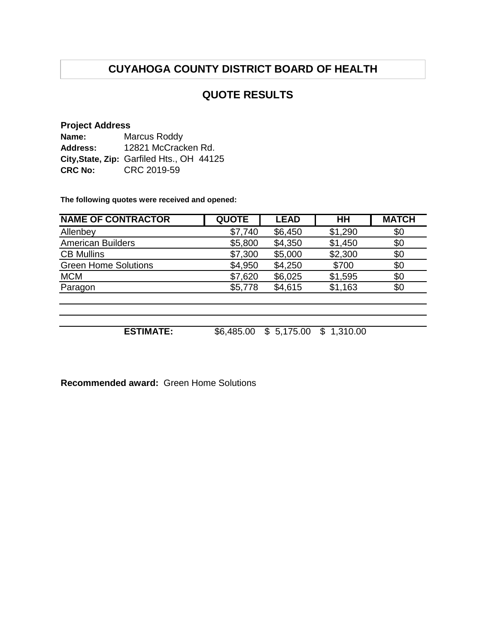## **QUOTE RESULTS**

#### **Project Address**

| Name:          | Marcus Roddy                              |  |  |
|----------------|-------------------------------------------|--|--|
| Address:       | 12821 McCracken Rd.                       |  |  |
|                | City, State, Zip: Garfiled Hts., OH 44125 |  |  |
| <b>CRC No:</b> | CRC 2019-59                               |  |  |

**The following quotes were received and opened:**

| <b>NAME OF CONTRACTOR</b>   | <b>QUOTE</b> | <b>LEAD</b> | HH                      | <b>MATCH</b> |
|-----------------------------|--------------|-------------|-------------------------|--------------|
| Allenbey                    | \$7,740      | \$6,450     | \$1,290                 | \$0          |
| <b>American Builders</b>    | \$5,800      | \$4,350     | \$1,450                 | \$0          |
| <b>CB Mullins</b>           | \$7,300      | \$5,000     | \$2,300                 | \$0          |
| <b>Green Home Solutions</b> | \$4,950      | \$4,250     | \$700                   | \$0          |
| <b>MCM</b>                  | \$7,620      | \$6,025     | \$1,595                 | \$0          |
| Paragon                     | \$5,778      | \$4,615     | \$1,163                 | \$0          |
|                             |              |             |                         |              |
| <b>ESTIMATE:</b>            | \$6,485.00   |             | $$5,175.00$ $$1,310.00$ |              |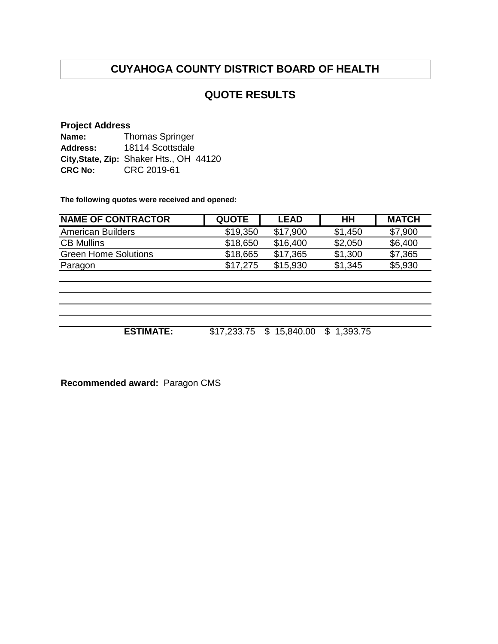## **QUOTE RESULTS**

#### **Project Address**

| Name:          | <b>Thomas Springer</b>                  |
|----------------|-----------------------------------------|
| Address:       | 18114 Scottsdale                        |
|                | City, State, Zip: Shaker Hts., OH 44120 |
| <b>CRC No:</b> | CRC 2019-61                             |

**The following quotes were received and opened:**

| <b>NAME OF CONTRACTOR</b>   | <b>QUOTE</b> | LEAD     | HН      | <b>MATCH</b> |
|-----------------------------|--------------|----------|---------|--------------|
| <b>American Builders</b>    | \$19,350     | \$17.900 | \$1,450 | \$7,900      |
| <b>CB Mullins</b>           | \$18,650     | \$16,400 | \$2,050 | \$6,400      |
| <b>Green Home Solutions</b> | \$18,665     | \$17.365 | \$1,300 | \$7,365      |
| Paragon                     | \$17.275     | \$15,930 | \$1,345 | \$5,930      |

**ESTIMATE:** \$17,233.75 \$ 15,840.00 \$ 1,393.75

**Recommended award:** Paragon CMS